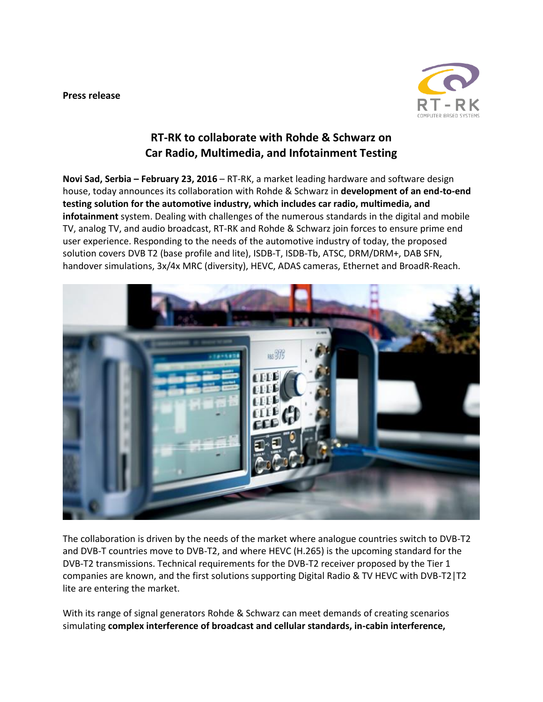### **Press release**



# **RT-RK to collaborate with Rohde & Schwarz on Car Radio, Multimedia, and Infotainment Testing**

**Novi Sad, Serbia – February 23, 2016** – RT-RK, a market leading hardware and software design house, today announces its collaboration with Rohde & Schwarz in **development of an end-to-end testing solution for the automotive industry, which includes car radio, multimedia, and infotainment** system. Dealing with challenges of the numerous standards in the digital and mobile TV, analog TV, and audio broadcast, RT-RK and Rohde & Schwarz join forces to ensure prime end user experience. Responding to the needs of the automotive industry of today, the proposed solution covers DVB T2 (base profile and lite), ISDB-T, ISDB-Tb, ATSC, DRM/DRM+, DAB SFN, handover simulations, 3x/4x MRC (diversity), HEVC, ADAS cameras, Ethernet and [BroadR-Reach.](https://www.rohde-schwarz.com/solutions/automotive/auto/in-vehicle-networks/broadr-reach-ethernet_229523.html)



The collaboration is driven by the needs of the market where analogue countries switch to DVB-T2 and DVB-T countries move to DVB-T2, and where HEVC (H.265) is the upcoming standard for the DVB-T2 transmissions. Technical requirements for the DVB-T2 receiver proposed by the Tier 1 companies are known, and the first solutions supporting Digital Radio & TV HEVC with DVB-T2|T2 lite are entering the market.

With its range of signal generators Rohde & Schwarz can meet demands of creating scenarios simulating **complex interference of broadcast and cellular standards, in-cabin interference,**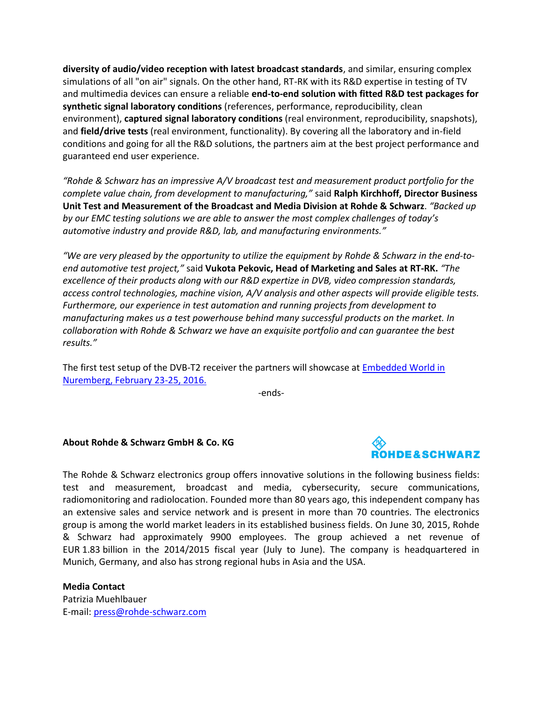**diversity of audio/video reception with latest broadcast standards**, and similar, ensuring complex simulations of all "on air" signals. On the other hand, RT-RK with its R&D expertise in testing of TV and multimedia devices can ensure a reliable **end-to-end solution with fitted R&D test packages for synthetic signal laboratory conditions** (references, performance, reproducibility, clean environment), **captured signal laboratory conditions** (real environment, reproducibility, snapshots), and **field/drive tests** (real environment, functionality). By covering all the laboratory and in-field conditions and going for all the R&D solutions, the partners aim at the best project performance and guaranteed end user experience.

*"Rohde & Schwarz has an impressive A/V broadcast test and measurement product portfolio for the complete value chain, from development to manufacturing,"* said **Ralph Kirchhoff, Director Business Unit Test and Measurement of the Broadcast and Media Division at Rohde & Schwarz**. *"Backed up by our EMC testing solutions we are able to answer the most complex challenges of today's automotive industry and provide R&D, lab, and manufacturing environments."*

*"We are very pleased by the opportunity to utilize the equipment by Rohde & Schwarz in the end-toend automotive test project,"* said **Vukota Pekovic, Head of Marketing and Sales at RT-RK.** *"The excellence of their products along with our R&D expertize in DVB, video compression standards, access control technologies, machine vision, A/V analysis and other aspects will provide eligible tests. Furthermore, our experience in test automation and running projects from development to manufacturing makes us a test powerhouse behind many successful products on the market. In collaboration with Rohde & Schwarz we have an exquisite portfolio and can guarantee the best results."*

The first test setup of the DVB-T2 receiver the partners will showcase a[t Embedded World in](https://www.embedded-world.de/en)  [Nuremberg, February 23-25, 2016.](https://www.embedded-world.de/en)

-ends-

# **About Rohde & Schwarz GmbH & Co. KG**



The Rohde & Schwarz electronics group offers innovative solutions in the following business fields: test and measurement, broadcast and media, cybersecurity, secure communications, radiomonitoring and radiolocation. Founded more than 80 years ago, this independent company has an extensive sales and service network and is present in more than 70 countries. The electronics group is among the world market leaders in its established business fields. On June 30, 2015, Rohde & Schwarz had approximately 9900 employees. The group achieved a net revenue of EUR 1.83 billion in the 2014/2015 fiscal year (July to June). The company is headquartered in Munich, Germany, and also has strong regional hubs in Asia and the USA.

**Media Contact** Patrizia Muehlbauer E-mail[: press@rohde-schwarz.com](mailto:press@rohde-schwarz.com)